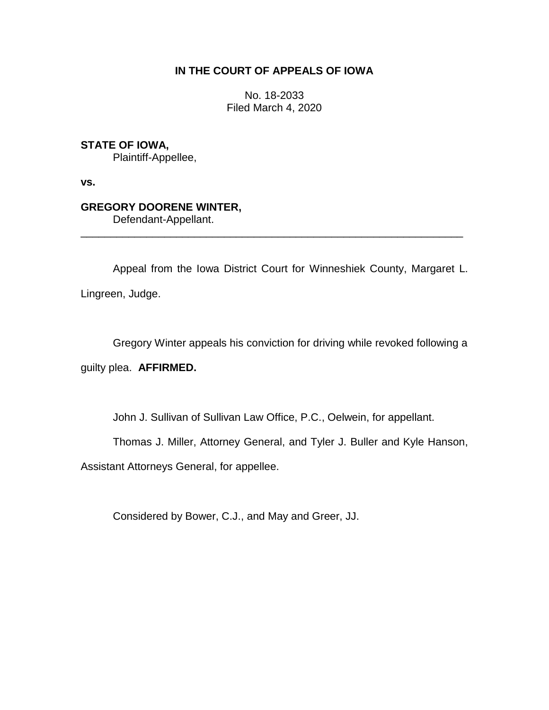### **IN THE COURT OF APPEALS OF IOWA**

No. 18-2033 Filed March 4, 2020

## **STATE OF IOWA,**

Plaintiff-Appellee,

**vs.**

## **GREGORY DOORENE WINTER,**

Defendant-Appellant.

Appeal from the Iowa District Court for Winneshiek County, Margaret L. Lingreen, Judge.

\_\_\_\_\_\_\_\_\_\_\_\_\_\_\_\_\_\_\_\_\_\_\_\_\_\_\_\_\_\_\_\_\_\_\_\_\_\_\_\_\_\_\_\_\_\_\_\_\_\_\_\_\_\_\_\_\_\_\_\_\_\_\_\_

Gregory Winter appeals his conviction for driving while revoked following a

guilty plea. **AFFIRMED.**

John J. Sullivan of Sullivan Law Office, P.C., Oelwein, for appellant.

Thomas J. Miller, Attorney General, and Tyler J. Buller and Kyle Hanson,

Assistant Attorneys General, for appellee.

Considered by Bower, C.J., and May and Greer, JJ.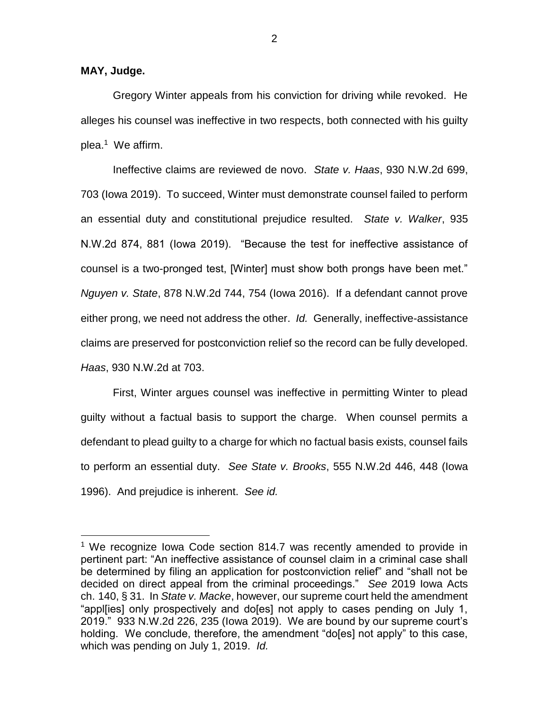#### **MAY, Judge.**

 $\overline{a}$ 

Gregory Winter appeals from his conviction for driving while revoked. He alleges his counsel was ineffective in two respects, both connected with his guilty plea. 1 We affirm.

Ineffective claims are reviewed de novo. *State v. Haas*, 930 N.W.2d 699, 703 (Iowa 2019). To succeed, Winter must demonstrate counsel failed to perform an essential duty and constitutional prejudice resulted. *State v. Walker*, 935 N.W.2d 874, 881 (Iowa 2019). "Because the test for ineffective assistance of counsel is a two-pronged test, [Winter] must show both prongs have been met." *Nguyen v. State*, 878 N.W.2d 744, 754 (Iowa 2016). If a defendant cannot prove either prong, we need not address the other. *Id.* Generally, ineffective-assistance claims are preserved for postconviction relief so the record can be fully developed. *Haas*, 930 N.W.2d at 703.

First, Winter argues counsel was ineffective in permitting Winter to plead guilty without a factual basis to support the charge. When counsel permits a defendant to plead guilty to a charge for which no factual basis exists, counsel fails to perform an essential duty. *See State v. Brooks*, 555 N.W.2d 446, 448 (Iowa 1996). And prejudice is inherent. *See id.*

<sup>&</sup>lt;sup>1</sup> We recognize Iowa Code section 814.7 was recently amended to provide in pertinent part: "An ineffective assistance of counsel claim in a criminal case shall be determined by filing an application for postconviction relief" and "shall not be decided on direct appeal from the criminal proceedings." *See* 2019 Iowa Acts ch. 140, § 31. In *State v. Macke*, however, our supreme court held the amendment "appl[ies] only prospectively and do[es] not apply to cases pending on July 1, 2019." 933 N.W.2d 226, 235 (Iowa 2019). We are bound by our supreme court's holding. We conclude, therefore, the amendment "do[es] not apply" to this case, which was pending on July 1, 2019. *Id.*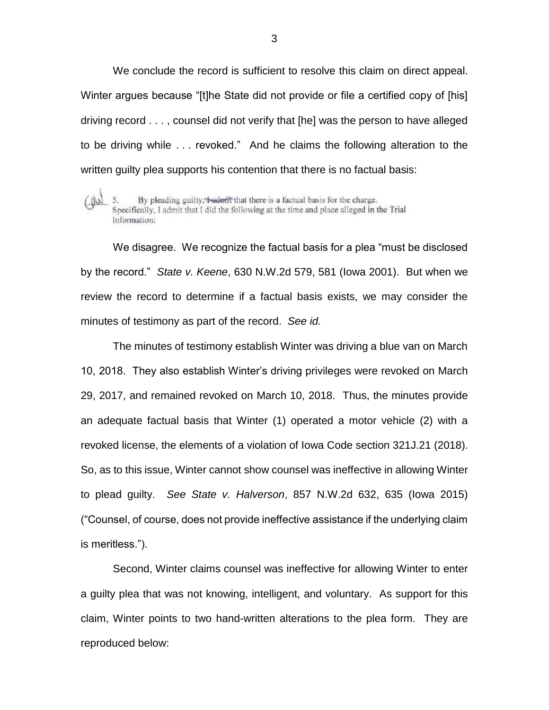We conclude the record is sufficient to resolve this claim on direct appeal. Winter argues because "[t]he State did not provide or file a certified copy of [his] driving record . . . , counsel did not verify that [he] was the person to have alleged to be driving while . . . revoked." And he claims the following alteration to the written guilty plea supports his contention that there is no factual basis:

By pleading guilty, badnfft that there is a factual basis for the charge.  $(Mn)$ 5. Specifically, I admit that I did the following at the time and place alleged in the Trial Information:

We disagree. We recognize the factual basis for a plea "must be disclosed by the record." *State v. Keene*, 630 N.W.2d 579, 581 (Iowa 2001). But when we review the record to determine if a factual basis exists, we may consider the minutes of testimony as part of the record. *See id.*

The minutes of testimony establish Winter was driving a blue van on March 10, 2018. They also establish Winter's driving privileges were revoked on March 29, 2017, and remained revoked on March 10, 2018. Thus, the minutes provide an adequate factual basis that Winter (1) operated a motor vehicle (2) with a revoked license, the elements of a violation of Iowa Code section 321J.21 (2018). So, as to this issue, Winter cannot show counsel was ineffective in allowing Winter to plead guilty. *See State v. Halverson*, 857 N.W.2d 632, 635 (Iowa 2015) ("Counsel, of course, does not provide ineffective assistance if the underlying claim is meritless.").

Second, Winter claims counsel was ineffective for allowing Winter to enter a guilty plea that was not knowing, intelligent, and voluntary. As support for this claim, Winter points to two hand-written alterations to the plea form. They are reproduced below: